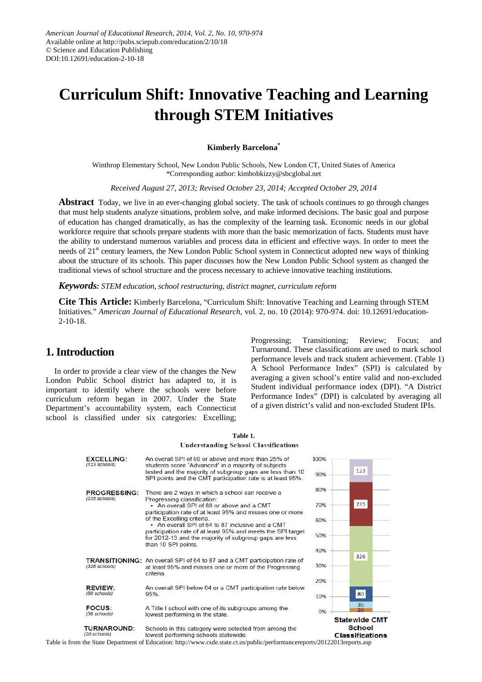# **Curriculum Shift: Innovative Teaching and Learning through STEM Initiatives**

#### **Kimberly Barcelona\***

Winthrop Elementary School, New London Public Schools, New London CT, United States of America \*Corresponding author: kimbobkizzy@sbcglobal.net

*Received August 27, 2013; Revised October 23, 2014; Accepted October 29, 2014*

**Abstract** Today, we live in an ever-changing global society. The task of schools continues to go through changes that must help students analyze situations, problem solve, and make informed decisions. The basic goal and purpose of education has changed dramatically, as has the complexity of the learning task. Economic needs in our global workforce require that schools prepare students with more than the basic memorization of facts. Students must have the ability to understand numerous variables and process data in efficient and effective ways. In order to meet the needs of 21<sup>st</sup> century learners, the New London Public School system in Connecticut adopted new ways of thinking about the structure of its schools. This paper discusses how the New London Public School system as changed the traditional views of school structure and the process necessary to achieve innovative teaching institutions.

*Keywords: STEM education, school restructuring, district magnet, curriculum reform*

**Cite This Article:** Kimberly Barcelona, "Curriculum Shift: Innovative Teaching and Learning through STEM Initiatives." *American Journal of Educational Research*, vol. 2, no. 10 (2014): 970-974. doi: 10.12691/education-2-10-18.

## **1. Introduction**

In order to provide a clear view of the changes the New London Public School district has adapted to, it is important to identify where the schools were before curriculum reform began in 2007. Under the State Department's accountability system, each Connecticut school is classified under six categories: Excelling;

Progressing; Transitioning; Review; Focus; and Turnaround. These classifications are used to mark school performance levels and track student achievement. (Table 1) A School Performance Index" (SPI) is calculated by averaging a given school's entire valid and non-excluded Student individual performance index (DPI). "A District Performance Index" (DPI) is calculated by averaging all of a given district's valid and non-excluded Student IPIs.

|                                        | <b>Understanding School Classifications</b>                                                                                                            |      |                                         |
|----------------------------------------|--------------------------------------------------------------------------------------------------------------------------------------------------------|------|-----------------------------------------|
| <b>EXCELLING:</b><br>$(123$ schools)   | An overall SPI of 88 or above and more than 25% of<br>students score "Advanced" in a majority of subjects                                              | 100% | 123                                     |
|                                        | tested and the majority of subgroup gaps are less than 10<br>SPI points and the CMT participation rate is at least 95%.                                | 90%  |                                         |
| <b>PROGRESSING:</b><br>$(235$ schools) | There are 2 ways in which a school can receive a<br>Progressing classification:                                                                        | 80%  |                                         |
|                                        | • An overall SPI of 88 or above and a CMT<br>participation rate of at least 95% and misses one or more                                                 | 70%  | 235                                     |
|                                        | of the Excelling criteria.<br>• An overall SPI of 64 to 87 inclusive and a CMT                                                                         | 60%  |                                         |
|                                        | participation rate of at least 95% and meets the SPI target<br>for 2012-13 and the majority of subgroup gaps are less<br>than 10 SPI points.           | 50%  |                                         |
|                                        |                                                                                                                                                        | 40%  | 326                                     |
| $(326$ schools)                        | <b>TRANSITIONING:</b> An overall SPI of 64 to 87 and a CMT participation rate of<br>at least 95% and misses one or more of the Progressing<br>criteria | 30%  |                                         |
|                                        |                                                                                                                                                        | 20%  |                                         |
| <b>REVIEW:</b><br>(80 schools)         | An overall SPI below 64 or a CMT participation rate below<br>95%                                                                                       | 10%  | 80                                      |
| <b>FOCUS:</b><br>(36 schools)          | A Title I school with one of its subgroups among the<br>lowest performing in the state.                                                                | 0%   | 36<br>วก                                |
|                                        |                                                                                                                                                        |      | <b>Statewide CMT</b>                    |
| <b>TURNAROUND:</b><br>(20 schools)     | Schools in this category were selected from among the<br>lowest performing schools statewide.                                                          |      | <b>School</b><br><b>Classifications</b> |

**Table 1.**

Table is from the State Department of Education: http://www.csde.state.ct.us/public/performancereports/20122013reports.asp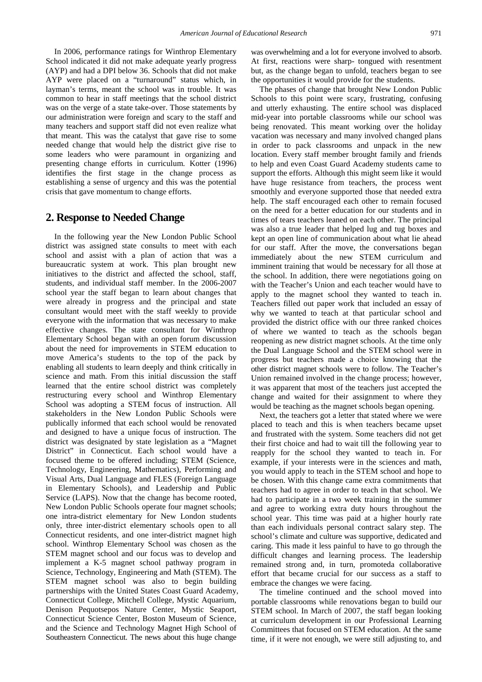In 2006, performance ratings for Winthrop Elementary School indicated it did not make adequate yearly progress (AYP) and had a DPI below 36. Schools that did not make AYP were placed on a "turnaround" status which, in layman's terms, meant the school was in trouble. It was common to hear in staff meetings that the school district was on the verge of a state take-over. Those statements by our administration were foreign and scary to the staff and many teachers and support staff did not even realize what that meant. This was the catalyst that gave rise to some needed change that would help the district give rise to some leaders who were paramount in organizing and presenting change efforts in curriculum. Kotter (1996) identifies the first stage in the change process as establishing a sense of urgency and this was the potential crisis that gave momentum to change efforts.

#### **2. Response to Needed Change**

In the following year the New London Public School district was assigned state consults to meet with each school and assist with a plan of action that was a bureaucratic system at work. This plan brought new initiatives to the district and affected the school, staff, students, and individual staff member. In the 2006-2007 school year the staff began to learn about changes that were already in progress and the principal and state consultant would meet with the staff weekly to provide everyone with the information that was necessary to make effective changes. The state consultant for Winthrop Elementary School began with an open forum discussion about the need for improvements in STEM education to move America's students to the top of the pack by enabling all students to learn deeply and think critically in science and math. From this initial discussion the staff learned that the entire school district was completely restructuring every school and Winthrop Elementary School was adopting a STEM focus of instruction. All stakeholders in the New London Public Schools were publically informed that each school would be renovated and designed to have a unique focus of instruction. The district was designated by state legislation as a "Magnet District" in Connecticut. Each school would have a focused theme to be offered including; STEM (Science, Technology, Engineering, Mathematics), Performing and Visual Arts, Dual Language and FLES (Foreign Language in Elementary Schools), and Leadership and Public Service (LAPS). Now that the change has become rooted, New London Public Schools operate four magnet schools; one intra-district elementary for New London students only, three inter-district elementary schools open to all Connecticut residents, and one inter-district magnet high school. Winthrop Elementary School was chosen as the STEM magnet school and our focus was to develop and implement a K-5 magnet school pathway program in Science, Technology, Engineering and Math (STEM). The STEM magnet school was also to begin building partnerships with the United States Coast Guard Academy, Connecticut College, Mitchell College, Mystic Aquarium, Denison Pequotsepos Nature Center, Mystic Seaport, Connecticut Science Center, Boston Museum of Science, and the Science and Technology Magnet High School of Southeastern Connecticut. The news about this huge change

was overwhelming and a lot for everyone involved to absorb. At first, reactions were sharp- tongued with resentment but, as the change began to unfold, teachers began to see the opportunities it would provide for the students.

The phases of change that brought New London Public Schools to this point were scary, frustrating, confusing and utterly exhausting. The entire school was displaced mid-year into portable classrooms while our school was being renovated. This meant working over the holiday vacation was necessary and many involved changed plans in order to pack classrooms and unpack in the new location. Every staff member brought family and friends to help and even Coast Guard Academy students came to support the efforts. Although this might seem like it would have huge resistance from teachers, the process went smoothly and everyone supported those that needed extra help. The staff encouraged each other to remain focused on the need for a better education for our students and in times of tears teachers leaned on each other. The principal was also a true leader that helped lug and tug boxes and kept an open line of communication about what lie ahead for our staff. After the move, the conversations began immediately about the new STEM curriculum and imminent training that would be necessary for all those at the school. In addition, there were negotiations going on with the Teacher's Union and each teacher would have to apply to the magnet school they wanted to teach in. Teachers filled out paper work that included an essay of why we wanted to teach at that particular school and provided the district office with our three ranked choices of where we wanted to teach as the schools began reopening as new district magnet schools. At the time only the Dual Language School and the STEM school were in progress but teachers made a choice knowing that the other district magnet schools were to follow. The Teacher's Union remained involved in the change process; however, it was apparent that most of the teachers just accepted the change and waited for their assignment to where they would be teaching as the magnet schools began opening.

Next, the teachers got a letter that stated where we were placed to teach and this is when teachers became upset and frustrated with the system. Some teachers did not get their first choice and had to wait till the following year to reapply for the school they wanted to teach in. For example, if your interests were in the sciences and math, you would apply to teach in the STEM school and hope to be chosen. With this change came extra commitments that teachers had to agree in order to teach in that school. We had to participate in a two week training in the summer and agree to working extra duty hours throughout the school year. This time was paid at a higher hourly rate than each individuals personal contract salary step. The school's climate and culture was supportive, dedicated and caring. This made it less painful to have to go through the difficult changes and learning process. The leadership remained strong and, in turn, promoteda collaborative effort that became crucial for our success as a staff to embrace the changes we were facing.

The timeline continued and the school moved into portable classrooms while renovations began to build our STEM school. In March of 2007, the staff began looking at curriculum development in our Professional Learning Committees that focused on STEM education. At the same time, if it were not enough, we were still adjusting to, and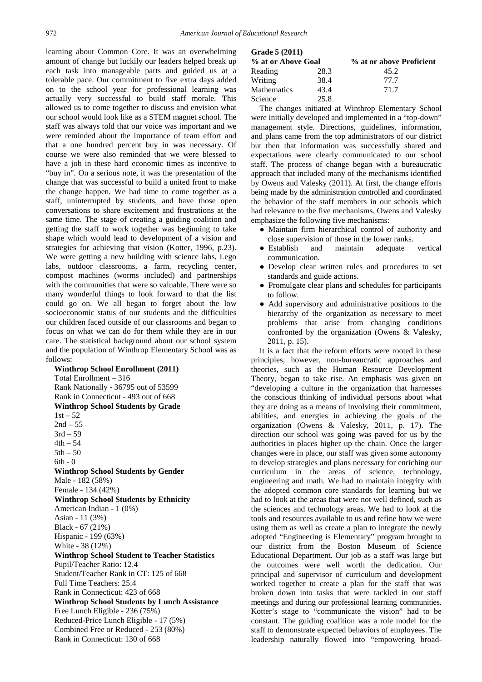learning about Common Core. It was an overwhelming amount of change but luckily our leaders helped break up each task into manageable parts and guided us at a tolerable pace. Our commitment to five extra days added on to the school year for professional learning was actually very successful to build staff morale. This allowed us to come together to discuss and envision what our school would look like as a STEM magnet school. The staff was always told that our voice was important and we were reminded about the importance of team effort and that a one hundred percent buy in was necessary. Of course we were also reminded that we were blessed to have a job in these hard economic times as incentive to "buy in". On a serious note, it was the presentation of the change that was successful to build a united front to make the change happen. We had time to come together as a staff, uninterrupted by students, and have those open conversations to share excitement and frustrations at the same time. The stage of creating a guiding coalition and getting the staff to work together was beginning to take shape which would lead to development of a vision and strategies for achieving that vision (Kotter, 1996, p.23). We were getting a new building with science labs, Lego labs, outdoor classrooms, a farm, recycling center, compost machines (worms included) and partnerships with the communities that were so valuable. There were so many wonderful things to look forward to that the list could go on. We all began to forget about the low socioeconomic status of our students and the difficulties our children faced outside of our classrooms and began to focus on what we can do for them while they are in our care. The statistical background about our school system and the population of Winthrop Elementary School was as follows:

**Winthrop School Enrollment (2011)** Total Enrollment – 316 Rank Nationally - 36795 out of 53599 Rank in Connecticut - 493 out of 668 **Winthrop School Students by Grade**   $1st - 52$  $2nd - 55$  $3rd - 59$  $4th - 54$  $5th - 50$  $6th - 0$ **Winthrop School Students by Gender** Male - 182 (58%) Female - 134 (42%) **Winthrop School Students by Ethnicity** American Indian - 1 (0%) Asian - 11 (3%) Black - 67 (21%) Hispanic - 199 (63%) White - 38 (12%) **Winthrop School Student to Teacher Statistics** Pupil/Teacher Ratio: 12.4 Student/Teacher Rank in CT: 125 of 668 Full Time Teachers: 25.4 Rank in Connecticut: 423 of 668 **Winthrop School Students by Lunch Assistance** Free Lunch Eligible - 236 (75%) Reduced-Price Lunch Eligible - 17 (5%) Combined Free or Reduced - 253 (80%) Rank in Connecticut: 130 of 668

| Grade 5 (2011)     |      |                          |  |  |
|--------------------|------|--------------------------|--|--|
| % at or Above Goal |      | % at or above Proficient |  |  |
| Reading            | 28.3 | 45.2                     |  |  |
| Writing            | 38.4 | 77.7                     |  |  |
| <b>Mathematics</b> | 43.4 | 71.7                     |  |  |
| Science            | 25.8 |                          |  |  |

The changes initiated at Winthrop Elementary School were initially developed and implemented in a "top-down" management style. Directions, guidelines, information, and plans came from the top administrators of our district but then that information was successfully shared and expectations were clearly communicated to our school staff. The process of change began with a bureaucratic approach that included many of the mechanisms identified by Owens and Valesky (2011). At first, the change efforts being made by the administration controlled and coordinated the behavior of the staff members in our schools which had relevance to the five mechanisms. Owens and Valesky emphasize the following five mechanisms:

- Maintain firm hierarchical control of authority and close supervision of those in the lower ranks.
- Establish and maintain adequate vertical communication.
- Develop clear written rules and procedures to set standards and guide actions.
- Promulgate clear plans and schedules for participants to follow.
- Add supervisory and administrative positions to the hierarchy of the organization as necessary to meet problems that arise from changing conditions confronted by the organization (Owens & Valesky, 2011, p. 15).

It is a fact that the reform efforts were rooted in these principles, however, non-bureaucratic approaches and theories, such as the Human Resource Development Theory, began to take rise. An emphasis was given on "developing a culture in the organization that harnesses the conscious thinking of individual persons about what they are doing as a means of involving their commitment, abilities, and energies in achieving the goals of the organization (Owens & Valesky, 2011, p. 17). The direction our school was going was paved for us by the authorities in places higher up the chain. Once the larger changes were in place, our staff was given some autonomy to develop strategies and plans necessary for enriching our curriculum in the areas of science, technology, engineering and math. We had to maintain integrity with the adopted common core standards for learning but we had to look at the areas that were not well defined, such as the sciences and technology areas. We had to look at the tools and resources available to us and refine how we were using them as well as create a plan to integrate the newly adopted "Engineering is Elementary" program brought to our district from the Boston Museum of Science Educational Department. Our job as a staff was large but the outcomes were well worth the dedication. Our principal and supervisor of curriculum and development worked together to create a plan for the staff that was broken down into tasks that were tackled in our staff meetings and during our professional learning communities. Kotter's stage to "communicate the vision" had to be constant. The guiding coalition was a role model for the staff to demonstrate expected behaviors of employees. The leadership naturally flowed into "empowering broad-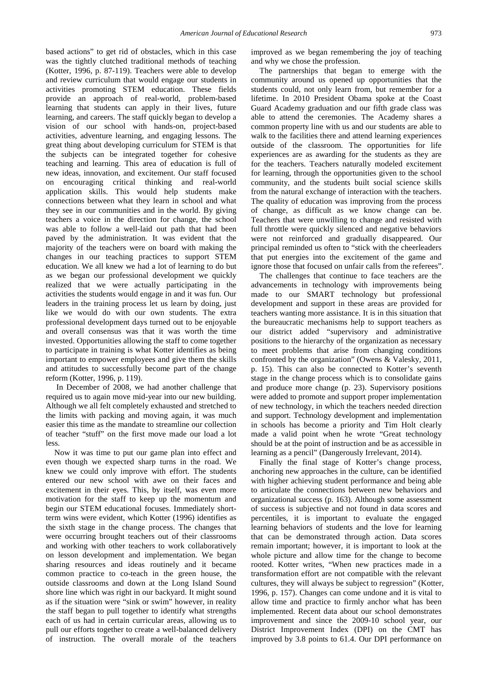based actions" to get rid of obstacles, which in this case was the tightly clutched traditional methods of teaching (Kotter, 1996, p. 87-119). Teachers were able to develop and review curriculum that would engage our students in activities promoting STEM education. These fields provide an approach of real-world, problem-based learning that students can apply in their lives, future learning, and careers. The staff quickly began to develop a vision of our school with hands-on, project-based activities, adventure learning, and engaging lessons. The great thing about developing curriculum for STEM is that the subjects can be integrated together for cohesive teaching and learning. This area of education is full of new ideas, innovation, and excitement. Our staff focused on encouraging critical thinking and real-world application skills. This would help students make connections between what they learn in school and what they see in our communities and in the world. By giving teachers a voice in the direction for change, the school was able to follow a well-laid out path that had been paved by the administration. It was evident that the majority of the teachers were on board with making the changes in our teaching practices to support STEM education. We all knew we had a lot of learning to do but as we began our professional development we quickly realized that we were actually participating in the activities the students would engage in and it was fun. Our leaders in the training process let us learn by doing, just like we would do with our own students. The extra professional development days turned out to be enjoyable and overall consensus was that it was worth the time invested. Opportunities allowing the staff to come together to participate in training is what Kotter identifies as being important to empower employees and give them the skills and attitudes to successfully become part of the change reform (Kotter, 1996, p. 119).

In December of 2008, we had another challenge that required us to again move mid-year into our new building. Although we all felt completely exhausted and stretched to the limits with packing and moving again, it was much easier this time as the mandate to streamline our collection of teacher "stuff" on the first move made our load a lot less.

Now it was time to put our game plan into effect and even though we expected sharp turns in the road. We knew we could only improve with effort. The students entered our new school with awe on their faces and excitement in their eyes. This, by itself, was even more motivation for the staff to keep up the momentum and begin our STEM educational focuses. Immediately shortterm wins were evident, which Kotter (1996) identifies as the sixth stage in the change process. The changes that were occurring brought teachers out of their classrooms and working with other teachers to work collaboratively on lesson development and implementation. We began sharing resources and ideas routinely and it became common practice to co-teach in the green house, the outside classrooms and down at the Long Island Sound shore line which was right in our backyard. It might sound as if the situation were "sink or swim" however, in reality the staff began to pull together to identify what strengths each of us had in certain curricular areas, allowing us to pull our efforts together to create a well-balanced delivery of instruction. The overall morale of the teachers

improved as we began remembering the joy of teaching and why we chose the profession.

The partnerships that began to emerge with the community around us opened up opportunities that the students could, not only learn from, but remember for a lifetime. In 2010 President Obama spoke at the Coast Guard Academy graduation and our fifth grade class was able to attend the ceremonies. The Academy shares a common property line with us and our students are able to walk to the facilities there and attend learning experiences outside of the classroom. The opportunities for life experiences are as awarding for the students as they are for the teachers. Teachers naturally modeled excitement for learning, through the opportunities given to the school community, and the students built social science skills from the natural exchange of interaction with the teachers. The quality of education was improving from the process of change, as difficult as we know change can be. Teachers that were unwilling to change and resisted with full throttle were quickly silenced and negative behaviors were not reinforced and gradually disappeared. Our principal reminded us often to "stick with the cheerleaders that put energies into the excitement of the game and ignore those that focused on unfair calls from the referees".

The challenges that continue to face teachers are the advancements in technology with improvements being made to our SMART technology but professional development and support in these areas are provided for teachers wanting more assistance. It is in this situation that the bureaucratic mechanisms help to support teachers as our district added "supervisory and administrative positions to the hierarchy of the organization as necessary to meet problems that arise from changing conditions confronted by the organization" (Owens & Valesky, 2011, p. 15). This can also be connected to Kotter's seventh stage in the change process which is to consolidate gains and produce more change (p. 23). Supervisory positions were added to promote and support proper implementation of new technology, in which the teachers needed direction and support. Technology development and implementation in schools has become a priority and Tim Holt clearly made a valid point when he wrote "Great technology should be at the point of instruction and be as accessible in learning as a pencil" (Dangerously Irrelevant, 2014).

Finally the final stage of Kotter's change process, anchoring new approaches in the culture, can be identified with higher achieving student performance and being able to articulate the connections between new behaviors and organizational success (p. 163). Although some assessment of success is subjective and not found in data scores and percentiles, it is important to evaluate the engaged learning behaviors of students and the love for learning that can be demonstrated through action. Data scores remain important; however, it is important to look at the whole picture and allow time for the change to become rooted. Kotter writes, "When new practices made in a transformation effort are not compatible with the relevant cultures, they will always be subject to regression" (Kotter, 1996, p. 157). Changes can come undone and it is vital to allow time and practice to firmly anchor what has been implemented. Recent data about our school demonstrates improvement and since the 2009-10 school year, our District Improvement Index (DPI) on the CMT has improved by 3.8 points to 61.4. Our DPI performance on